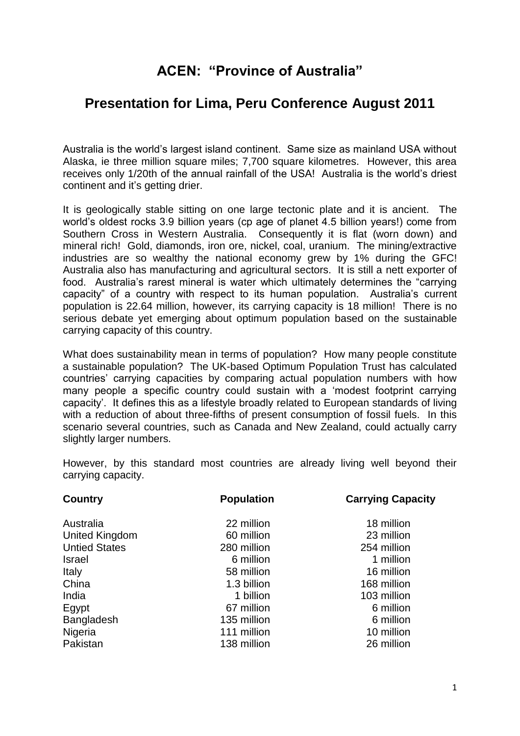# **ACEN: "Province of Australia"**

# **Presentation for Lima, Peru Conference August 2011**

Australia is the world"s largest island continent. Same size as mainland USA without Alaska, ie three million square miles; 7,700 square kilometres. However, this area receives only 1/20th of the annual rainfall of the USA! Australia is the world"s driest continent and it's getting drier.

It is geologically stable sitting on one large tectonic plate and it is ancient. The world"s oldest rocks 3.9 billion years (cp age of planet 4.5 billion years!) come from Southern Cross in Western Australia. Consequently it is flat (worn down) and mineral rich! Gold, diamonds, iron ore, nickel, coal, uranium. The mining/extractive industries are so wealthy the national economy grew by 1% during the GFC! Australia also has manufacturing and agricultural sectors. It is still a nett exporter of food. Australia"s rarest mineral is water which ultimately determines the "carrying capacity" of a country with respect to its human population. Australia"s current population is 22.64 million, however, its carrying capacity is 18 million! There is no serious debate yet emerging about optimum population based on the sustainable carrying capacity of this country.

What does sustainability mean in terms of population? How many people constitute a sustainable population? The UK-based Optimum Population Trust has calculated countries" carrying capacities by comparing actual population numbers with how many people a specific country could sustain with a "modest footprint carrying capacity". It defines this as a lifestyle broadly related to European standards of living with a reduction of about three-fifths of present consumption of fossil fuels. In this scenario several countries, such as Canada and New Zealand, could actually carry slightly larger numbers.

However, by this standard most countries are already living well beyond their carrying capacity.

| <b>Country</b>       | <b>Population</b> | <b>Carrying Capacity</b> |
|----------------------|-------------------|--------------------------|
| Australia            | 22 million        | 18 million               |
| United Kingdom       | 60 million        | 23 million               |
| <b>Untied States</b> | 280 million       | 254 million              |
| <b>Israel</b>        | 6 million         | 1 million                |
| Italy                | 58 million        | 16 million               |
| China                | 1.3 billion       | 168 million              |
| India                | 1 billion         | 103 million              |
| Egypt                | 67 million        | 6 million                |
| Bangladesh           | 135 million       | 6 million                |
| Nigeria              | 111 million       | 10 million               |
| Pakistan             | 138 million       | 26 million               |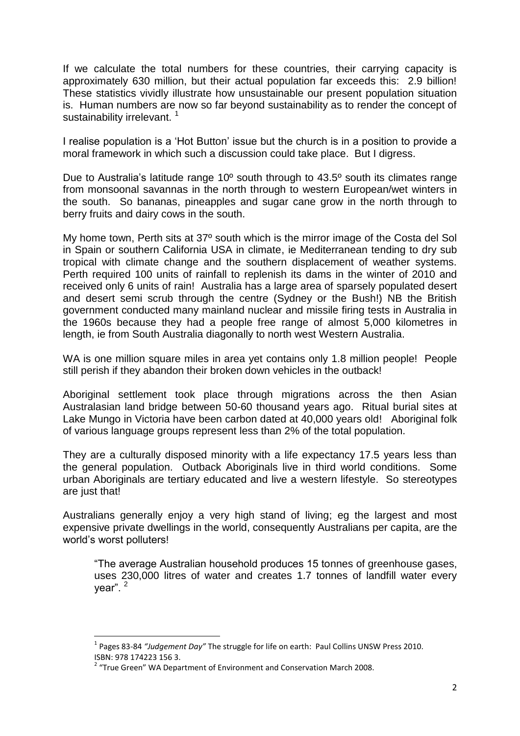If we calculate the total numbers for these countries, their carrying capacity is approximately 630 million, but their actual population far exceeds this: 2.9 billion! These statistics vividly illustrate how unsustainable our present population situation is. Human numbers are now so far beyond sustainability as to render the concept of sustainability irrelevant.<sup>1</sup>

I realise population is a "Hot Button" issue but the church is in a position to provide a moral framework in which such a discussion could take place. But I digress.

Due to Australia's latitude range 10<sup>°</sup> south through to 43.5<sup>°</sup> south its climates range from monsoonal savannas in the north through to western European/wet winters in the south. So bananas, pineapples and sugar cane grow in the north through to berry fruits and dairy cows in the south.

My home town, Perth sits at 37º south which is the mirror image of the Costa del Sol in Spain or southern California USA in climate, ie Mediterranean tending to dry sub tropical with climate change and the southern displacement of weather systems. Perth required 100 units of rainfall to replenish its dams in the winter of 2010 and received only 6 units of rain! Australia has a large area of sparsely populated desert and desert semi scrub through the centre (Sydney or the Bush!) NB the British government conducted many mainland nuclear and missile firing tests in Australia in the 1960s because they had a people free range of almost 5,000 kilometres in length, ie from South Australia diagonally to north west Western Australia.

WA is one million square miles in area yet contains only 1.8 million people! People still perish if they abandon their broken down vehicles in the outback!

Aboriginal settlement took place through migrations across the then Asian Australasian land bridge between 50-60 thousand years ago. Ritual burial sites at Lake Mungo in Victoria have been carbon dated at 40,000 years old! Aboriginal folk of various language groups represent less than 2% of the total population.

They are a culturally disposed minority with a life expectancy 17.5 years less than the general population. Outback Aboriginals live in third world conditions. Some urban Aboriginals are tertiary educated and live a western lifestyle. So stereotypes are just that!

Australians generally enjoy a very high stand of living; eg the largest and most expensive private dwellings in the world, consequently Australians per capita, are the world"s worst polluters!

"The average Australian household produces 15 tonnes of greenhouse gases, uses 230,000 litres of water and creates 1.7 tonnes of landfill water every year". <sup>2</sup>

**.** 

<sup>1</sup> Pages 83-84 *"Judgement Day"* The struggle for life on earth: Paul Collins UNSW Press 2010. ISBN: 978 174223 156 3.

<sup>&</sup>lt;sup>2</sup> "True Green" WA Department of Environment and Conservation March 2008.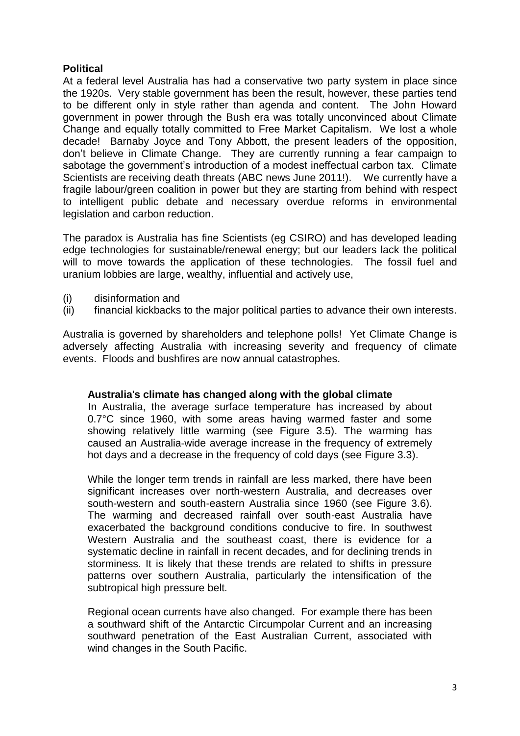## **Political**

At a federal level Australia has had a conservative two party system in place since the 1920s. Very stable government has been the result, however, these parties tend to be different only in style rather than agenda and content. The John Howard government in power through the Bush era was totally unconvinced about Climate Change and equally totally committed to Free Market Capitalism. We lost a whole decade! Barnaby Joyce and Tony Abbott, the present leaders of the opposition, don"t believe in Climate Change. They are currently running a fear campaign to sabotage the government's introduction of a modest ineffectual carbon tax. Climate Scientists are receiving death threats (ABC news June 2011!). We currently have a fragile labour/green coalition in power but they are starting from behind with respect to intelligent public debate and necessary overdue reforms in environmental legislation and carbon reduction.

The paradox is Australia has fine Scientists (eg CSIRO) and has developed leading edge technologies for sustainable/renewal energy; but our leaders lack the political will to move towards the application of these technologies. The fossil fuel and uranium lobbies are large, wealthy, influential and actively use,

- (i) disinformation and
- (ii) financial kickbacks to the major political parties to advance their own interests.

Australia is governed by shareholders and telephone polls! Yet Climate Change is adversely affecting Australia with increasing severity and frequency of climate events. Floods and bushfires are now annual catastrophes.

#### **Australia**'**s climate has changed along with the global climate**

In Australia, the average surface temperature has increased by about 0.7°C since 1960, with some areas having warmed faster and some showing relatively little warming (see Figure 3.5). The warming has caused an Australia-wide average increase in the frequency of extremely hot days and a decrease in the frequency of cold days (see Figure 3.3).

While the longer term trends in rainfall are less marked, there have been significant increases over north-western Australia, and decreases over south-western and south-eastern Australia since 1960 (see Figure 3.6). The warming and decreased rainfall over south-east Australia have exacerbated the background conditions conducive to fire. In southwest Western Australia and the southeast coast, there is evidence for a systematic decline in rainfall in recent decades, and for declining trends in storminess. It is likely that these trends are related to shifts in pressure patterns over southern Australia, particularly the intensification of the subtropical high pressure belt.

Regional ocean currents have also changed. For example there has been a southward shift of the Antarctic Circumpolar Current and an increasing southward penetration of the East Australian Current, associated with wind changes in the South Pacific.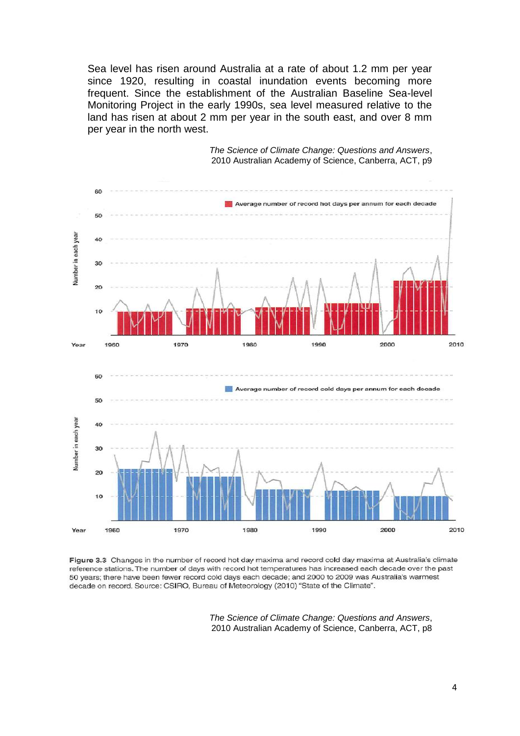Sea level has risen around Australia at a rate of about 1.2 mm per year since 1920, resulting in coastal inundation events becoming more frequent. Since the establishment of the Australian Baseline Sea-level Monitoring Project in the early 1990s, sea level measured relative to the land has risen at about 2 mm per year in the south east, and over 8 mm per year in the north west.



*The Science of Climate Change: Questions and Answers*, 2010 Australian Academy of Science, Canberra, ACT, p9

Figure 3.3 Changes in the number of record hot day maxima and record cold day maxima at Australia's climate reference stations. The number of days with record hot temperatures has increased each decade over the past 50 years; there have been fewer record cold days each decade; and 2000 to 2009 was Australia's warmest decade on record. Source: CSIRO, Bureau of Meteorology (2010) "State of the Climate".

> *The Science of Climate Change: Questions and Answers*, 2010 Australian Academy of Science, Canberra, ACT, p8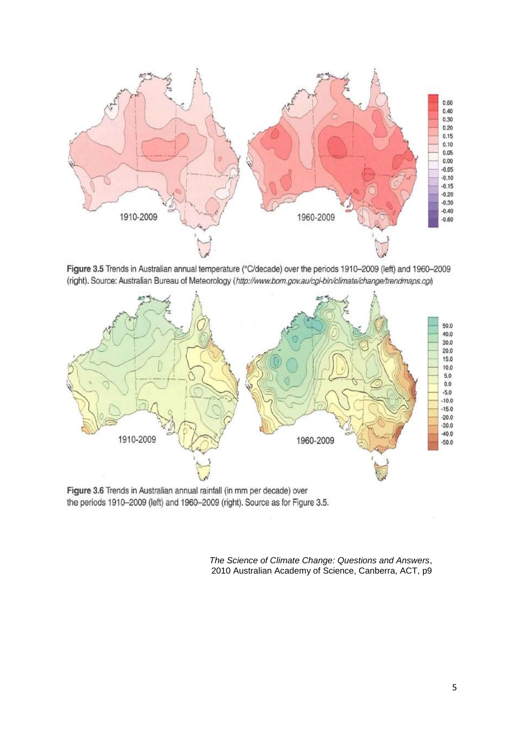

Figure 3.5 Trends in Australian annual temperature (°C/decade) over the periods 1910-2009 (left) and 1960-2009 (right). Source: Australian Bureau of Meteorology (http://www.bom.gov.au/cgi-bin/climate/change/trendmaps.cgl)



Figure 3.6 Trends in Australian annual rainfall (in mm per decade) over the periods 1910-2009 (left) and 1960-2009 (right). Source as for Figure 3.5.

*The Science of Climate Change: Questions and Answers*, 2010 Australian Academy of Science, Canberra, ACT, p9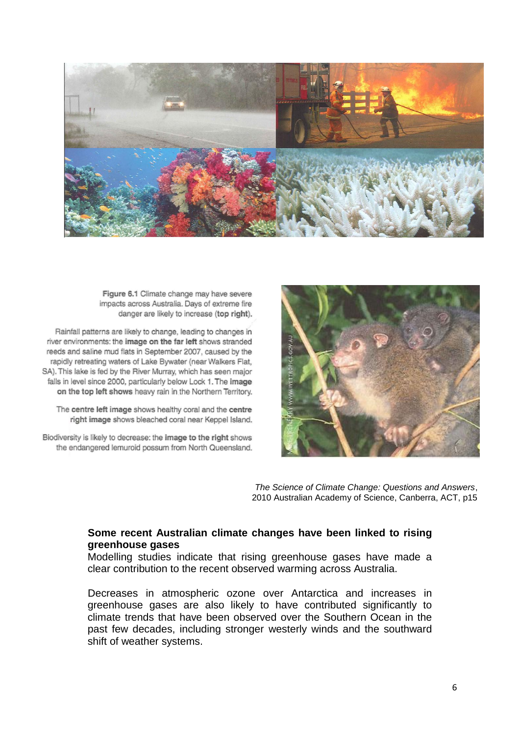

Figure 6.1 Climate change may have severe impacts across Australia. Days of extreme fire danger are likely to increase (top right).

Rainfall patterns are likely to change, leading to changes in river environments: the image on the far left shows stranded reeds and saline mud flats in September 2007, caused by the rapidly retreating waters of Lake Bywater (near Walkers Flat, SA). This lake is fed by the River Murray, which has seen major falls in level since 2000, particularly below Lock 1. The image on the top left shows heavy rain in the Northern Territory.

The centre left image shows healthy coral and the centre right image shows bleached coral near Keppel Island.

Biodiversity is likely to decrease: the image to the right shows the endangered lemuroid possum from North Queensland.



*The Science of Climate Change: Questions and Answers*, 2010 Australian Academy of Science, Canberra, ACT, p15

#### **Some recent Australian climate changes have been linked to rising greenhouse gases**

Modelling studies indicate that rising greenhouse gases have made a clear contribution to the recent observed warming across Australia.

Decreases in atmospheric ozone over Antarctica and increases in greenhouse gases are also likely to have contributed significantly to climate trends that have been observed over the Southern Ocean in the past few decades, including stronger westerly winds and the southward shift of weather systems.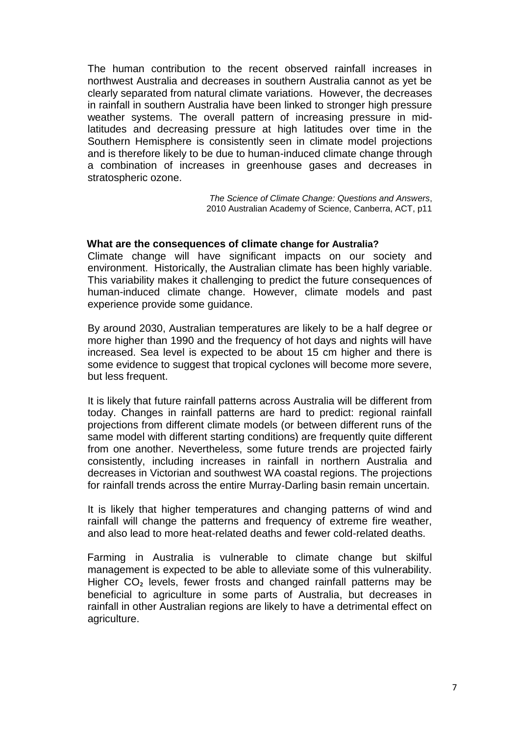The human contribution to the recent observed rainfall increases in northwest Australia and decreases in southern Australia cannot as yet be clearly separated from natural climate variations. However, the decreases in rainfall in southern Australia have been linked to stronger high pressure weather systems. The overall pattern of increasing pressure in midlatitudes and decreasing pressure at high latitudes over time in the Southern Hemisphere is consistently seen in climate model projections and is therefore likely to be due to human-induced climate change through a combination of increases in greenhouse gases and decreases in stratospheric ozone.

> *The Science of Climate Change: Questions and Answers*, 2010 Australian Academy of Science, Canberra, ACT, p11

#### **What are the consequences of climate change for Australia?**

Climate change will have significant impacts on our society and environment. Historically, the Australian climate has been highly variable. This variability makes it challenging to predict the future consequences of human-induced climate change. However, climate models and past experience provide some guidance.

By around 2030, Australian temperatures are likely to be a half degree or more higher than 1990 and the frequency of hot days and nights will have increased. Sea level is expected to be about 15 cm higher and there is some evidence to suggest that tropical cyclones will become more severe, but less frequent.

It is likely that future rainfall patterns across Australia will be different from today. Changes in rainfall patterns are hard to predict: regional rainfall projections from different climate models (or between different runs of the same model with different starting conditions) are frequently quite different from one another. Nevertheless, some future trends are projected fairly consistently, including increases in rainfall in northern Australia and decreases in Victorian and southwest WA coastal regions. The projections for rainfall trends across the entire Murray-Darling basin remain uncertain.

It is likely that higher temperatures and changing patterns of wind and rainfall will change the patterns and frequency of extreme fire weather, and also lead to more heat-related deaths and fewer cold-related deaths.

Farming in Australia is vulnerable to climate change but skilful management is expected to be able to alleviate some of this vulnerability. Higher CO<sub>2</sub> levels, fewer frosts and changed rainfall patterns may be beneficial to agriculture in some parts of Australia, but decreases in rainfall in other Australian regions are likely to have a detrimental effect on agriculture.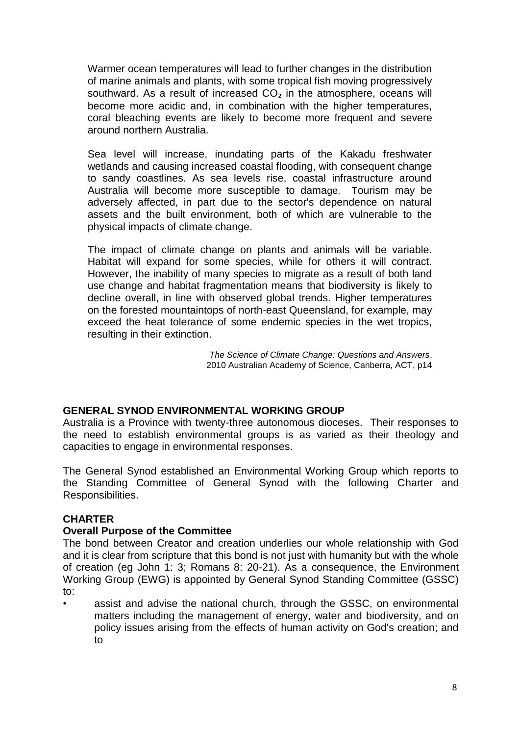Warmer ocean temperatures will lead to further changes in the distribution of marine animals and plants, with some tropical fish moving progressively southward. As a result of increased CO<sub>2</sub> in the atmosphere, oceans will become more acidic and, in combination with the higher temperatures, coral bleaching events are likely to become more frequent and severe around northern Australia.

Sea level will increase, inundating parts of the Kakadu freshwater wetlands and causing increased coastal flooding, with consequent change to sandy coastlines. As sea levels rise, coastal infrastructure around Australia will become more susceptible to damage. Tourism may be adversely affected, in part due to the sector's dependence on natural assets and the built environment, both of which are vulnerable to the physical impacts of climate change.

The impact of climate change on plants and animals will be variable. Habitat will expand for some species, while for others it will contract. However, the inability of many species to migrate as a result of both land use change and habitat fragmentation means that biodiversity is likely to decline overall, in line with observed global trends. Higher temperatures on the forested mountaintops of north-east Queensland, for example, may exceed the heat tolerance of some endemic species in the wet tropics, resulting in their extinction.

> *The Science of Climate Change: Questions and Answers*, 2010 Australian Academy of Science, Canberra, ACT, p14

## **GENERAL SYNOD ENVIRONMENTAL WORKING GROUP**

Australia is a Province with twenty-three autonomous dioceses. Their responses to the need to establish environmental groups is as varied as their theology and capacities to engage in environmental responses.

The General Synod established an Environmental Working Group which reports to the Standing Committee of General Synod with the following Charter and Responsibilities.

## **CHARTER**

## **Overall Purpose of the Committee**

The bond between Creator and creation underlies our whole relationship with God and it is clear from scripture that this bond is not just with humanity but with the whole of creation (eg John 1: 3; Romans 8: 20-21). As a consequence, the Environment Working Group (EWG) is appointed by General Synod Standing Committee (GSSC) to:

assist and advise the national church, through the GSSC, on environmental matters including the management of energy, water and biodiversity, and on policy issues arising from the effects of human activity on God's creation; and to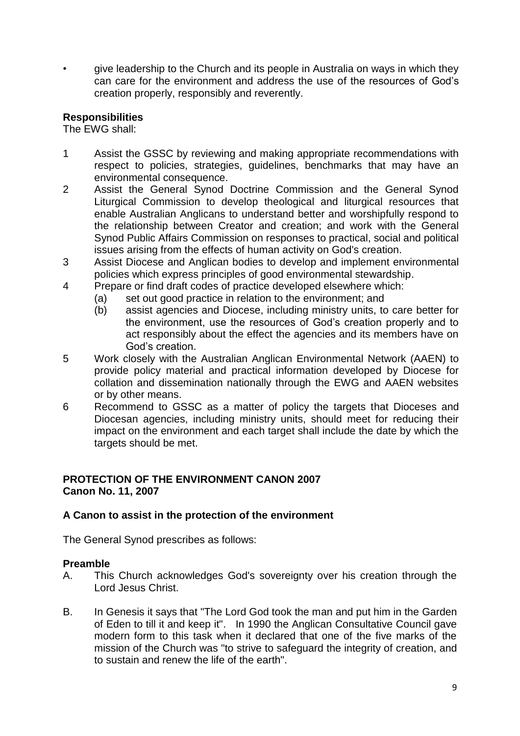• give leadership to the Church and its people in Australia on ways in which they can care for the environment and address the use of the resources of God"s creation properly, responsibly and reverently.

## **Responsibilities**

The EWG shall:

- 1 Assist the GSSC by reviewing and making appropriate recommendations with respect to policies, strategies, guidelines, benchmarks that may have an environmental consequence.
- 2 Assist the General Synod Doctrine Commission and the General Synod Liturgical Commission to develop theological and liturgical resources that enable Australian Anglicans to understand better and worshipfully respond to the relationship between Creator and creation; and work with the General Synod Public Affairs Commission on responses to practical, social and political issues arising from the effects of human activity on God's creation.
- 3 Assist Diocese and Anglican bodies to develop and implement environmental policies which express principles of good environmental stewardship.
- 4 Prepare or find draft codes of practice developed elsewhere which:
	- (a) set out good practice in relation to the environment; and
	- (b) assist agencies and Diocese, including ministry units, to care better for the environment, use the resources of God"s creation properly and to act responsibly about the effect the agencies and its members have on God"s creation.
- 5 Work closely with the Australian Anglican Environmental Network (AAEN) to provide policy material and practical information developed by Diocese for collation and dissemination nationally through the EWG and AAEN websites or by other means.
- 6 Recommend to GSSC as a matter of policy the targets that Dioceses and Diocesan agencies, including ministry units, should meet for reducing their impact on the environment and each target shall include the date by which the targets should be met.

## **PROTECTION OF THE ENVIRONMENT CANON 2007 Canon No. 11, 2007**

#### **A Canon to assist in the protection of the environment**

The General Synod prescribes as follows:

#### **Preamble**

- A. This Church acknowledges God's sovereignty over his creation through the Lord Jesus Christ.
- B. In Genesis it says that "The Lord God took the man and put him in the Garden of Eden to till it and keep it". In 1990 the Anglican Consultative Council gave modern form to this task when it declared that one of the five marks of the mission of the Church was "to strive to safeguard the integrity of creation, and to sustain and renew the life of the earth".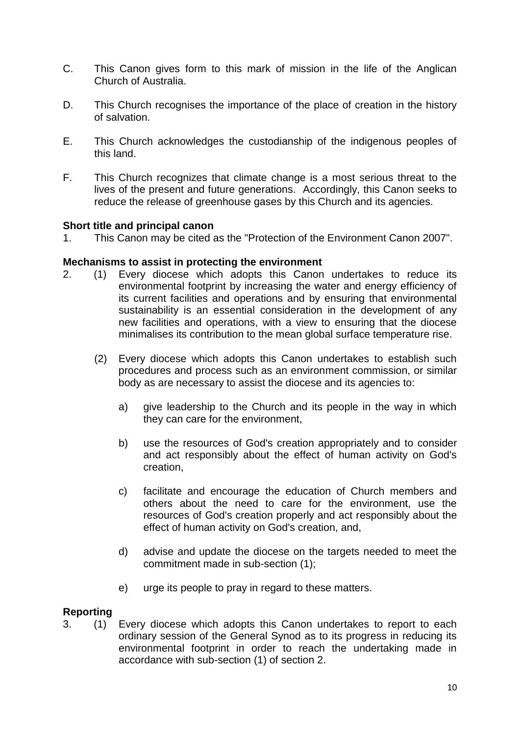- C. This Canon gives form to this mark of mission in the life of the Anglican Church of Australia.
- D. This Church recognises the importance of the place of creation in the history of salvation.
- E. This Church acknowledges the custodianship of the indigenous peoples of this land.
- F. This Church recognizes that climate change is a most serious threat to the lives of the present and future generations. Accordingly, this Canon seeks to reduce the release of greenhouse gases by this Church and its agencies.

#### **Short title and principal canon**

1. This Canon may be cited as the "Protection of the Environment Canon 2007".

#### **Mechanisms to assist in protecting the environment**

- 2. (1) Every diocese which adopts this Canon undertakes to reduce its environmental footprint by increasing the water and energy efficiency of its current facilities and operations and by ensuring that environmental sustainability is an essential consideration in the development of any new facilities and operations, with a view to ensuring that the diocese minimalises its contribution to the mean global surface temperature rise.
	- (2) Every diocese which adopts this Canon undertakes to establish such procedures and process such as an environment commission, or similar body as are necessary to assist the diocese and its agencies to:
		- a) give leadership to the Church and its people in the way in which they can care for the environment,
		- b) use the resources of God's creation appropriately and to consider and act responsibly about the effect of human activity on God's creation,
		- c) facilitate and encourage the education of Church members and others about the need to care for the environment, use the resources of God's creation properly and act responsibly about the effect of human activity on God's creation, and,
		- d) advise and update the diocese on the targets needed to meet the commitment made in sub-section (1);
		- e) urge its people to pray in regard to these matters.

#### **Reporting**

3. (1) Every diocese which adopts this Canon undertakes to report to each ordinary session of the General Synod as to its progress in reducing its environmental footprint in order to reach the undertaking made in accordance with sub-section (1) of section 2.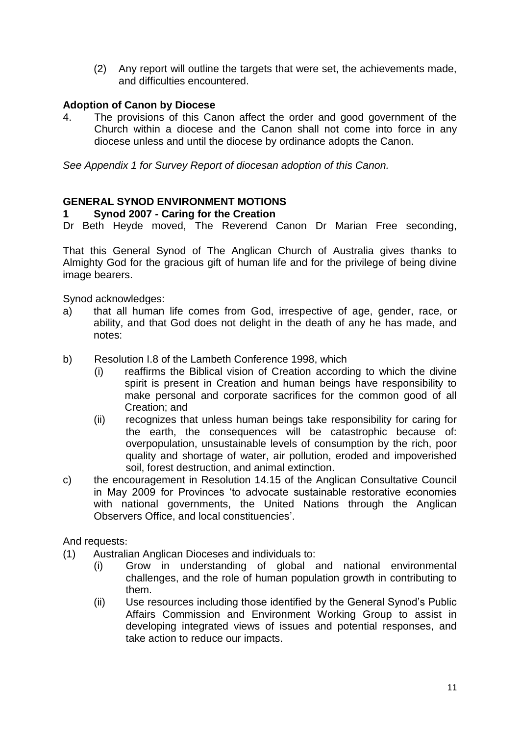(2) Any report will outline the targets that were set, the achievements made, and difficulties encountered.

## **Adoption of Canon by Diocese**

4. The provisions of this Canon affect the order and good government of the Church within a diocese and the Canon shall not come into force in any diocese unless and until the diocese by ordinance adopts the Canon.

*See Appendix 1 for Survey Report of diocesan adoption of this Canon.*

#### **GENERAL SYNOD ENVIRONMENT MOTIONS**

#### **1 Synod 2007 - Caring for the Creation**

Dr Beth Heyde moved, The Reverend Canon Dr Marian Free seconding,

That this General Synod of The Anglican Church of Australia gives thanks to Almighty God for the gracious gift of human life and for the privilege of being divine image bearers.

Synod acknowledges:

- a) that all human life comes from God, irrespective of age, gender, race, or ability, and that God does not delight in the death of any he has made, and notes:
- b) Resolution I.8 of the Lambeth Conference 1998, which
	- (i) reaffirms the Biblical vision of Creation according to which the divine spirit is present in Creation and human beings have responsibility to make personal and corporate sacrifices for the common good of all Creation; and
	- (ii) recognizes that unless human beings take responsibility for caring for the earth, the consequences will be catastrophic because of: overpopulation, unsustainable levels of consumption by the rich, poor quality and shortage of water, air pollution, eroded and impoverished soil, forest destruction, and animal extinction.
- c) the encouragement in Resolution 14.15 of the Anglican Consultative Council in May 2009 for Provinces "to advocate sustainable restorative economies with national governments, the United Nations through the Anglican Observers Office, and local constituencies".

And requests:

- (1) Australian Anglican Dioceses and individuals to:
	- (i) Grow in understanding of global and national environmental challenges, and the role of human population growth in contributing to them.
	- (ii) Use resources including those identified by the General Synod"s Public Affairs Commission and Environment Working Group to assist in developing integrated views of issues and potential responses, and take action to reduce our impacts.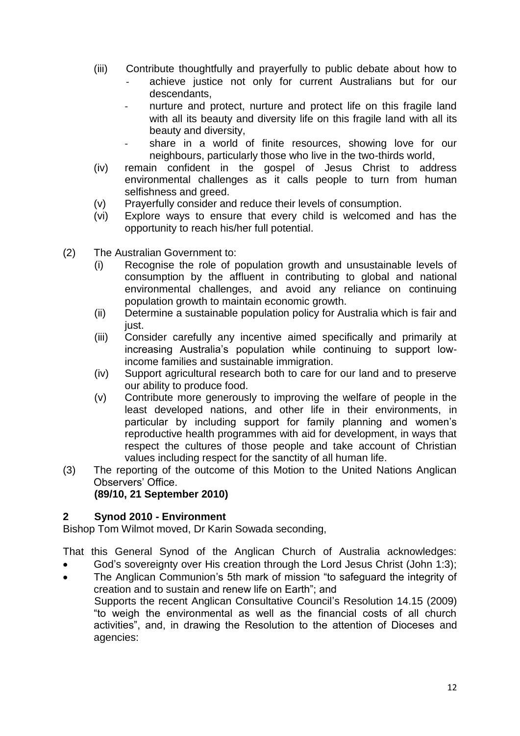- (iii) Contribute thoughtfully and prayerfully to public debate about how to
	- achieve justice not only for current Australians but for our descendants,
	- nurture and protect, nurture and protect life on this fragile land with all its beauty and diversity life on this fragile land with all its beauty and diversity,
	- share in a world of finite resources, showing love for our neighbours, particularly those who live in the two-thirds world,
- (iv) remain confident in the gospel of Jesus Christ to address environmental challenges as it calls people to turn from human selfishness and greed.
- (v) Prayerfully consider and reduce their levels of consumption.
- (vi) Explore ways to ensure that every child is welcomed and has the opportunity to reach his/her full potential.
- (2) The Australian Government to:
	- (i) Recognise the role of population growth and unsustainable levels of consumption by the affluent in contributing to global and national environmental challenges, and avoid any reliance on continuing population growth to maintain economic growth.
	- (ii) Determine a sustainable population policy for Australia which is fair and just.
	- (iii) Consider carefully any incentive aimed specifically and primarily at increasing Australia"s population while continuing to support lowincome families and sustainable immigration.
	- (iv) Support agricultural research both to care for our land and to preserve our ability to produce food.
	- (v) Contribute more generously to improving the welfare of people in the least developed nations, and other life in their environments, in particular by including support for family planning and women"s reproductive health programmes with aid for development, in ways that respect the cultures of those people and take account of Christian values including respect for the sanctity of all human life.
- (3) The reporting of the outcome of this Motion to the United Nations Anglican Observers' Office.

#### **(89/10, 21 September 2010)**

## **2 Synod 2010 - Environment**

Bishop Tom Wilmot moved, Dr Karin Sowada seconding,

That this General Synod of the Anglican Church of Australia acknowledges:

- God"s sovereignty over His creation through the Lord Jesus Christ (John 1:3);
- The Anglican Communion's 5th mark of mission "to safeguard the integrity of creation and to sustain and renew life on Earth"; and Supports the recent Anglican Consultative Council"s Resolution 14.15 (2009) "to weigh the environmental as well as the financial costs of all church activities", and, in drawing the Resolution to the attention of Dioceses and agencies: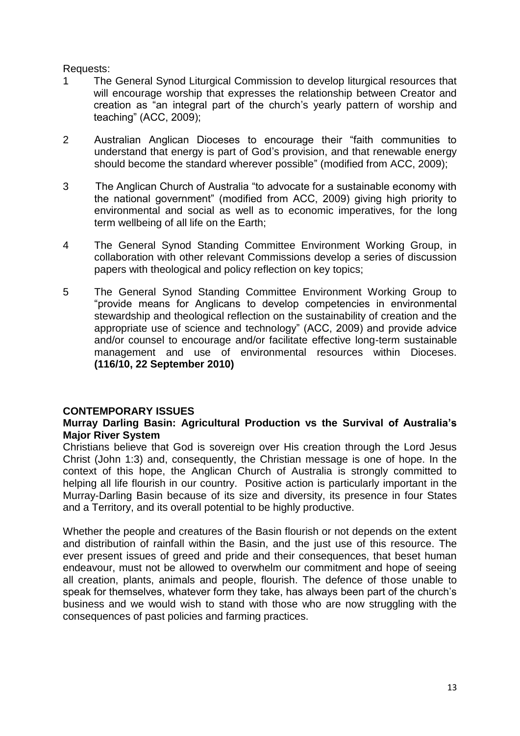#### Requests:

- 1 The General Synod Liturgical Commission to develop liturgical resources that will encourage worship that expresses the relationship between Creator and creation as "an integral part of the church's yearly pattern of worship and teaching" (ACC, 2009);
- 2 Australian Anglican Dioceses to encourage their "faith communities to understand that energy is part of God"s provision, and that renewable energy should become the standard wherever possible" (modified from ACC, 2009);
- 3 The Anglican Church of Australia "to advocate for a sustainable economy with the national government" (modified from ACC, 2009) giving high priority to environmental and social as well as to economic imperatives, for the long term wellbeing of all life on the Earth;
- 4 The General Synod Standing Committee Environment Working Group, in collaboration with other relevant Commissions develop a series of discussion papers with theological and policy reflection on key topics;
- 5 The General Synod Standing Committee Environment Working Group to "provide means for Anglicans to develop competencies in environmental stewardship and theological reflection on the sustainability of creation and the appropriate use of science and technology" (ACC, 2009) and provide advice and/or counsel to encourage and/or facilitate effective long-term sustainable management and use of environmental resources within Dioceses. **(116/10, 22 September 2010)**

## **CONTEMPORARY ISSUES**

#### **Murray Darling Basin: Agricultural Production vs the Survival of Australia's Major River System**

Christians believe that God is sovereign over His creation through the Lord Jesus Christ (John 1:3) and, consequently, the Christian message is one of hope. In the context of this hope, the Anglican Church of Australia is strongly committed to helping all life flourish in our country. Positive action is particularly important in the Murray-Darling Basin because of its size and diversity, its presence in four States and a Territory, and its overall potential to be highly productive.

Whether the people and creatures of the Basin flourish or not depends on the extent and distribution of rainfall within the Basin, and the just use of this resource. The ever present issues of greed and pride and their consequences, that beset human endeavour, must not be allowed to overwhelm our commitment and hope of seeing all creation, plants, animals and people, flourish. The defence of those unable to speak for themselves, whatever form they take, has always been part of the church"s business and we would wish to stand with those who are now struggling with the consequences of past policies and farming practices.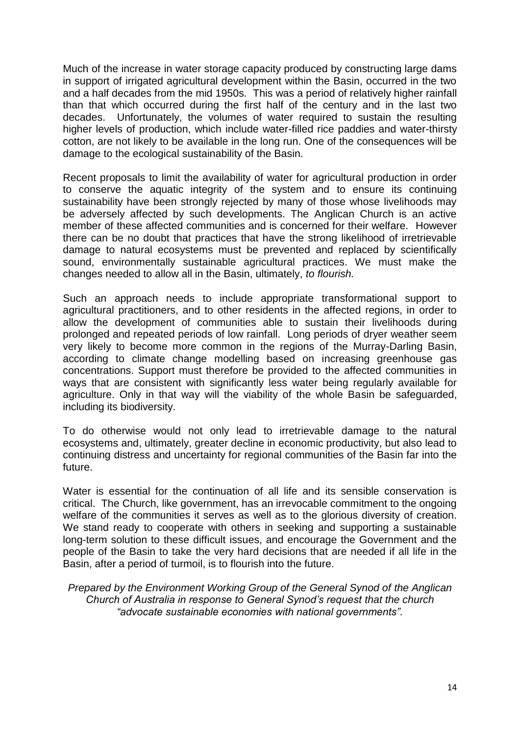Much of the increase in water storage capacity produced by constructing large dams in support of irrigated agricultural development within the Basin, occurred in the two and a half decades from the mid 1950s. This was a period of relatively higher rainfall than that which occurred during the first half of the century and in the last two decades. Unfortunately, the volumes of water required to sustain the resulting higher levels of production, which include water-filled rice paddies and water-thirsty cotton, are not likely to be available in the long run. One of the consequences will be damage to the ecological sustainability of the Basin.

Recent proposals to limit the availability of water for agricultural production in order to conserve the aquatic integrity of the system and to ensure its continuing sustainability have been strongly rejected by many of those whose livelihoods may be adversely affected by such developments. The Anglican Church is an active member of these affected communities and is concerned for their welfare. However there can be no doubt that practices that have the strong likelihood of irretrievable damage to natural ecosystems must be prevented and replaced by scientifically sound, environmentally sustainable agricultural practices. We must make the changes needed to allow all in the Basin, ultimately, *to flourish.*

Such an approach needs to include appropriate transformational support to agricultural practitioners, and to other residents in the affected regions, in order to allow the development of communities able to sustain their livelihoods during prolonged and repeated periods of low rainfall. Long periods of dryer weather seem very likely to become more common in the regions of the Murray-Darling Basin, according to climate change modelling based on increasing greenhouse gas concentrations. Support must therefore be provided to the affected communities in ways that are consistent with significantly less water being regularly available for agriculture. Only in that way will the viability of the whole Basin be safeguarded, including its biodiversity.

To do otherwise would not only lead to irretrievable damage to the natural ecosystems and, ultimately, greater decline in economic productivity, but also lead to continuing distress and uncertainty for regional communities of the Basin far into the future.

Water is essential for the continuation of all life and its sensible conservation is critical. The Church, like government, has an irrevocable commitment to the ongoing welfare of the communities it serves as well as to the glorious diversity of creation. We stand ready to cooperate with others in seeking and supporting a sustainable long-term solution to these difficult issues, and encourage the Government and the people of the Basin to take the very hard decisions that are needed if all life in the Basin, after a period of turmoil, is to flourish into the future.

*Prepared by the Environment Working Group of the General Synod of the Anglican Church of Australia in response to General Synod's request that the church "advocate sustainable economies with national governments".*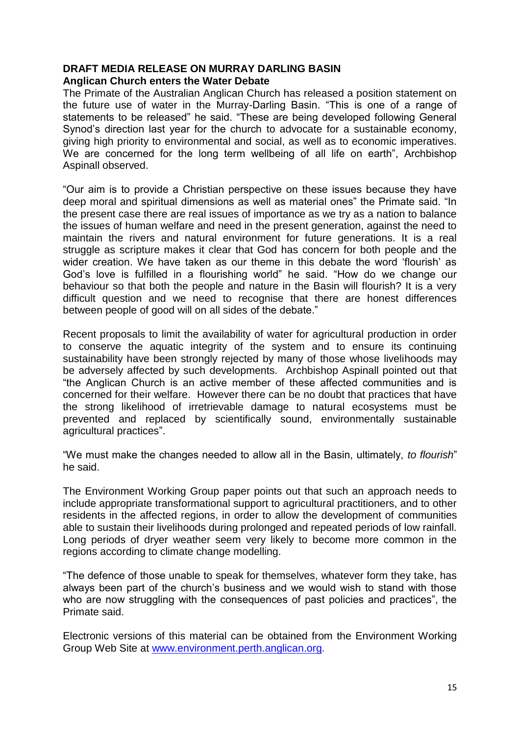## **DRAFT MEDIA RELEASE ON MURRAY DARLING BASIN**

## **Anglican Church enters the Water Debate**

The Primate of the Australian Anglican Church has released a position statement on the future use of water in the Murray-Darling Basin. "This is one of a range of statements to be released" he said. "These are being developed following General Synod"s direction last year for the church to advocate for a sustainable economy, giving high priority to environmental and social, as well as to economic imperatives. We are concerned for the long term wellbeing of all life on earth", Archbishop Aspinall observed.

"Our aim is to provide a Christian perspective on these issues because they have deep moral and spiritual dimensions as well as material ones" the Primate said. "In the present case there are real issues of importance as we try as a nation to balance the issues of human welfare and need in the present generation, against the need to maintain the rivers and natural environment for future generations. It is a real struggle as scripture makes it clear that God has concern for both people and the wider creation. We have taken as our theme in this debate the word "flourish" as God"s love is fulfilled in a flourishing world" he said. "How do we change our behaviour so that both the people and nature in the Basin will flourish? It is a very difficult question and we need to recognise that there are honest differences between people of good will on all sides of the debate."

Recent proposals to limit the availability of water for agricultural production in order to conserve the aquatic integrity of the system and to ensure its continuing sustainability have been strongly rejected by many of those whose livelihoods may be adversely affected by such developments. Archbishop Aspinall pointed out that "the Anglican Church is an active member of these affected communities and is concerned for their welfare. However there can be no doubt that practices that have the strong likelihood of irretrievable damage to natural ecosystems must be prevented and replaced by scientifically sound, environmentally sustainable agricultural practices".

"We must make the changes needed to allow all in the Basin, ultimately, *to flourish*" he said.

The Environment Working Group paper points out that such an approach needs to include appropriate transformational support to agricultural practitioners, and to other residents in the affected regions, in order to allow the development of communities able to sustain their livelihoods during prolonged and repeated periods of low rainfall. Long periods of dryer weather seem very likely to become more common in the regions according to climate change modelling.

"The defence of those unable to speak for themselves, whatever form they take, has always been part of the church's business and we would wish to stand with those who are now struggling with the consequences of past policies and practices", the Primate said.

Electronic versions of this material can be obtained from the Environment Working Group Web Site at [www.environment.perth.anglican.org](http://www.environment.perth.anglican.org/).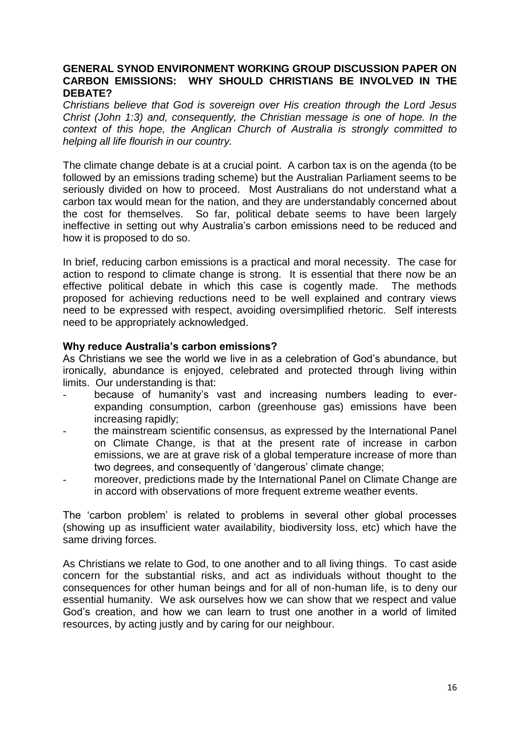#### **GENERAL SYNOD ENVIRONMENT WORKING GROUP DISCUSSION PAPER ON CARBON EMISSIONS: WHY SHOULD CHRISTIANS BE INVOLVED IN THE DEBATE?**

*Christians believe that God is sovereign over His creation through the Lord Jesus Christ (John 1:3) and, consequently, the Christian message is one of hope. In the context of this hope, the Anglican Church of Australia is strongly committed to helping all life flourish in our country.*

The climate change debate is at a crucial point. A carbon tax is on the agenda (to be followed by an emissions trading scheme) but the Australian Parliament seems to be seriously divided on how to proceed. Most Australians do not understand what a carbon tax would mean for the nation, and they are understandably concerned about the cost for themselves. So far, political debate seems to have been largely ineffective in setting out why Australia"s carbon emissions need to be reduced and how it is proposed to do so.

In brief, reducing carbon emissions is a practical and moral necessity. The case for action to respond to climate change is strong. It is essential that there now be an effective political debate in which this case is cogently made. The methods proposed for achieving reductions need to be well explained and contrary views need to be expressed with respect, avoiding oversimplified rhetoric. Self interests need to be appropriately acknowledged.

#### **Why reduce Australia's carbon emissions?**

As Christians we see the world we live in as a celebration of God's abundance, but ironically, abundance is enjoyed, celebrated and protected through living within limits. Our understanding is that:

- because of humanity"s vast and increasing numbers leading to everexpanding consumption, carbon (greenhouse gas) emissions have been increasing rapidly;
- the mainstream scientific consensus, as expressed by the International Panel on Climate Change, is that at the present rate of increase in carbon emissions, we are at grave risk of a global temperature increase of more than two degrees, and consequently of 'dangerous' climate change;
- moreover, predictions made by the International Panel on Climate Change are in accord with observations of more frequent extreme weather events.

The "carbon problem" is related to problems in several other global processes (showing up as insufficient water availability, biodiversity loss, etc) which have the same driving forces.

As Christians we relate to God, to one another and to all living things. To cast aside concern for the substantial risks, and act as individuals without thought to the consequences for other human beings and for all of non-human life, is to deny our essential humanity. We ask ourselves how we can show that we respect and value God"s creation, and how we can learn to trust one another in a world of limited resources, by acting justly and by caring for our neighbour.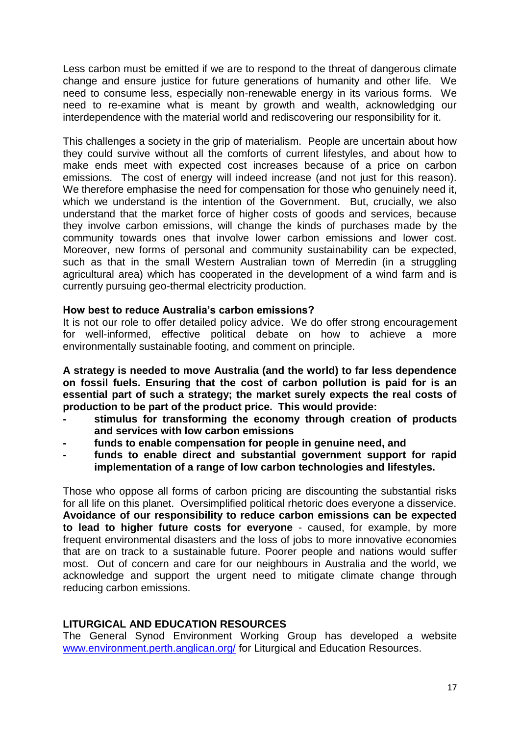Less carbon must be emitted if we are to respond to the threat of dangerous climate change and ensure justice for future generations of humanity and other life. We need to consume less, especially non-renewable energy in its various forms. We need to re-examine what is meant by growth and wealth, acknowledging our interdependence with the material world and rediscovering our responsibility for it.

This challenges a society in the grip of materialism. People are uncertain about how they could survive without all the comforts of current lifestyles, and about how to make ends meet with expected cost increases because of a price on carbon emissions. The cost of energy will indeed increase (and not just for this reason). We therefore emphasise the need for compensation for those who genuinely need it, which we understand is the intention of the Government. But, crucially, we also understand that the market force of higher costs of goods and services, because they involve carbon emissions, will change the kinds of purchases made by the community towards ones that involve lower carbon emissions and lower cost. Moreover, new forms of personal and community sustainability can be expected, such as that in the small Western Australian town of Merredin (in a struggling agricultural area) which has cooperated in the development of a wind farm and is currently pursuing geo-thermal electricity production.

#### **How best to reduce Australia's carbon emissions?**

It is not our role to offer detailed policy advice. We do offer strong encouragement for well-informed, effective political debate on how to achieve a more environmentally sustainable footing, and comment on principle.

**A strategy is needed to move Australia (and the world) to far less dependence on fossil fuels. Ensuring that the cost of carbon pollution is paid for is an essential part of such a strategy; the market surely expects the real costs of production to be part of the product price. This would provide:**

- **- stimulus for transforming the economy through creation of products and services with low carbon emissions**
- **- funds to enable compensation for people in genuine need, and**
- **- funds to enable direct and substantial government support for rapid implementation of a range of low carbon technologies and lifestyles.**

Those who oppose all forms of carbon pricing are discounting the substantial risks for all life on this planet. Oversimplified political rhetoric does everyone a disservice. **Avoidance of our responsibility to reduce carbon emissions can be expected to lead to higher future costs for everyone** - caused, for example, by more frequent environmental disasters and the loss of jobs to more innovative economies that are on track to a sustainable future. Poorer people and nations would suffer most. Out of concern and care for our neighbours in Australia and the world, we acknowledge and support the urgent need to mitigate climate change through reducing carbon emissions.

#### **LITURGICAL AND EDUCATION RESOURCES**

The General Synod Environment Working Group has developed a website [www.environment.perth.anglican.org/](http://www.environment.perth.anglican.org/) for Liturgical and Education Resources.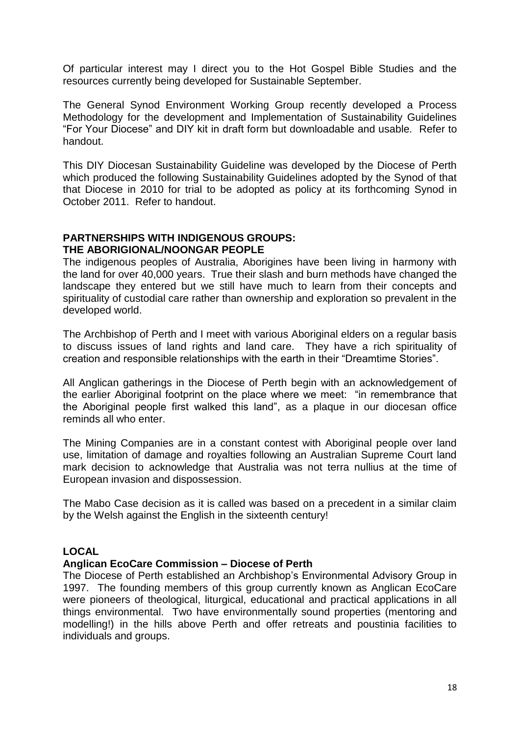Of particular interest may I direct you to the Hot Gospel Bible Studies and the resources currently being developed for Sustainable September.

The General Synod Environment Working Group recently developed a Process Methodology for the development and Implementation of Sustainability Guidelines "For Your Diocese" and DIY kit in draft form but downloadable and usable. Refer to handout.

This DIY Diocesan Sustainability Guideline was developed by the Diocese of Perth which produced the following Sustainability Guidelines adopted by the Synod of that that Diocese in 2010 for trial to be adopted as policy at its forthcoming Synod in October 2011. Refer to handout.

#### **PARTNERSHIPS WITH INDIGENOUS GROUPS: THE ABORIGIONAL/NOONGAR PEOPLE**

The indigenous peoples of Australia, Aborigines have been living in harmony with the land for over 40,000 years. True their slash and burn methods have changed the landscape they entered but we still have much to learn from their concepts and spirituality of custodial care rather than ownership and exploration so prevalent in the developed world.

The Archbishop of Perth and I meet with various Aboriginal elders on a regular basis to discuss issues of land rights and land care. They have a rich spirituality of creation and responsible relationships with the earth in their "Dreamtime Stories".

All Anglican gatherings in the Diocese of Perth begin with an acknowledgement of the earlier Aboriginal footprint on the place where we meet: "in remembrance that the Aboriginal people first walked this land", as a plaque in our diocesan office reminds all who enter.

The Mining Companies are in a constant contest with Aboriginal people over land use, limitation of damage and royalties following an Australian Supreme Court land mark decision to acknowledge that Australia was not terra nullius at the time of European invasion and dispossession.

The Mabo Case decision as it is called was based on a precedent in a similar claim by the Welsh against the English in the sixteenth century!

## **LOCAL**

#### **Anglican EcoCare Commission – Diocese of Perth**

The Diocese of Perth established an Archbishop"s Environmental Advisory Group in 1997. The founding members of this group currently known as Anglican EcoCare were pioneers of theological, liturgical, educational and practical applications in all things environmental. Two have environmentally sound properties (mentoring and modelling!) in the hills above Perth and offer retreats and poustinia facilities to individuals and groups.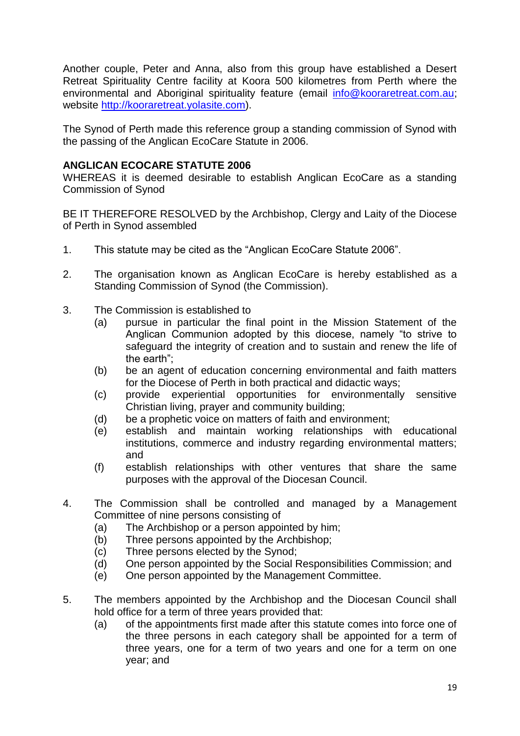Another couple, Peter and Anna, also from this group have established a Desert Retreat Spirituality Centre facility at Koora 500 kilometres from Perth where the environmental and Aboriginal spirituality feature (email [info@kooraretreat.com.au;](mailto:info@kooraretreat.com.au) website [http://kooraretreat.yolasite.com\)](http://kooraretreat.yolasite.com/).

The Synod of Perth made this reference group a standing commission of Synod with the passing of the Anglican EcoCare Statute in 2006.

## **ANGLICAN ECOCARE STATUTE 2006**

WHEREAS it is deemed desirable to establish Anglican EcoCare as a standing Commission of Synod

BE IT THEREFORE RESOLVED by the Archbishop, Clergy and Laity of the Diocese of Perth in Synod assembled

- 1. This statute may be cited as the "Anglican EcoCare Statute 2006".
- 2. The organisation known as Anglican EcoCare is hereby established as a Standing Commission of Synod (the Commission).
- 3. The Commission is established to
	- (a) pursue in particular the final point in the Mission Statement of the Anglican Communion adopted by this diocese, namely "to strive to safeguard the integrity of creation and to sustain and renew the life of the earth";
	- (b) be an agent of education concerning environmental and faith matters for the Diocese of Perth in both practical and didactic ways;
	- (c) provide experiential opportunities for environmentally sensitive Christian living, prayer and community building;
	- (d) be a prophetic voice on matters of faith and environment;
	- (e) establish and maintain working relationships with educational institutions, commerce and industry regarding environmental matters; and
	- (f) establish relationships with other ventures that share the same purposes with the approval of the Diocesan Council.
- 4. The Commission shall be controlled and managed by a Management Committee of nine persons consisting of
	- (a) The Archbishop or a person appointed by him;
	- (b) Three persons appointed by the Archbishop;
	- (c) Three persons elected by the Synod;
	- (d) One person appointed by the Social Responsibilities Commission; and
	- (e) One person appointed by the Management Committee.
- 5. The members appointed by the Archbishop and the Diocesan Council shall hold office for a term of three years provided that:
	- (a) of the appointments first made after this statute comes into force one of the three persons in each category shall be appointed for a term of three years, one for a term of two years and one for a term on one year; and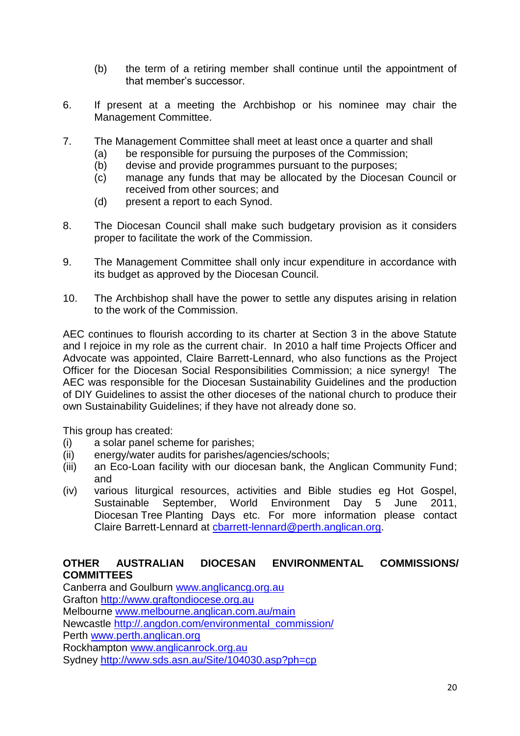- (b) the term of a retiring member shall continue until the appointment of that member"s successor.
- 6. If present at a meeting the Archbishop or his nominee may chair the Management Committee.
- 7. The Management Committee shall meet at least once a quarter and shall
	- (a) be responsible for pursuing the purposes of the Commission;
	- (b) devise and provide programmes pursuant to the purposes;
	- (c) manage any funds that may be allocated by the Diocesan Council or received from other sources; and
	- (d) present a report to each Synod.
- 8. The Diocesan Council shall make such budgetary provision as it considers proper to facilitate the work of the Commission.
- 9. The Management Committee shall only incur expenditure in accordance with its budget as approved by the Diocesan Council.
- 10. The Archbishop shall have the power to settle any disputes arising in relation to the work of the Commission.

AEC continues to flourish according to its charter at Section 3 in the above Statute and I rejoice in my role as the current chair. In 2010 a half time Projects Officer and Advocate was appointed, Claire Barrett-Lennard, who also functions as the Project Officer for the Diocesan Social Responsibilities Commission; a nice synergy! The AEC was responsible for the Diocesan Sustainability Guidelines and the production of DIY Guidelines to assist the other dioceses of the national church to produce their own Sustainability Guidelines; if they have not already done so.

This group has created:

- (i) a solar panel scheme for parishes;
- (ii) energy/water audits for parishes/agencies/schools;
- (iii) an Eco-Loan facility with our diocesan bank, the Anglican Community Fund; and
- (iv) various liturgical resources, activities and Bible studies eg Hot Gospel, Sustainable September, World Environment Day 5 June 2011, Diocesan Tree Planting Days etc. For more information please contact Claire Barrett-Lennard at [cbarrett-lennard@perth.anglican.org.](mailto:cbarrett-lennard@perth.anglican.org)

## **OTHER AUSTRALIAN DIOCESAN ENVIRONMENTAL COMMISSIONS/ COMMITTEES**

Canberra and Goulburn [www.anglicancg.org.au](http://www.anglicancg.org.au/) Grafton [http://www.graftondiocese.org.au](http://www.graftondiocese.org.au/) Melbourne [www.melbourne.anglican.com.au/main](http://www.melbourne.anglican.com.au/main) Newcastle [http://.angdon.com/environmental\\_commission/](http://.angdon.com/environmental_commission/) Perth [www.perth.anglican.org](http://www.perth.anglican.org/) Rockhampton [www.anglicanrock.org.au](http://www.anglicanrock.org.au/) Sydney<http://www.sds.asn.au/Site/104030.asp?ph=cp>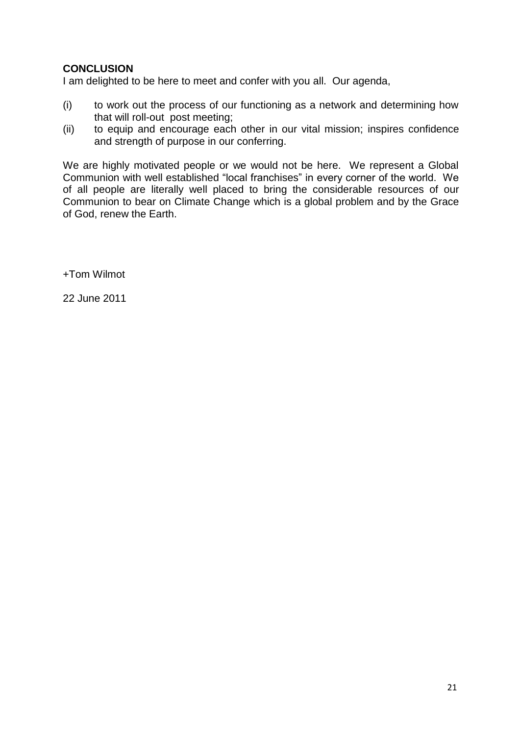## **CONCLUSION**

I am delighted to be here to meet and confer with you all. Our agenda,

- (i) to work out the process of our functioning as a network and determining how that will roll-out post meeting;
- (ii) to equip and encourage each other in our vital mission; inspires confidence and strength of purpose in our conferring.

We are highly motivated people or we would not be here. We represent a Global Communion with well established "local franchises" in every corner of the world. We of all people are literally well placed to bring the considerable resources of our Communion to bear on Climate Change which is a global problem and by the Grace of God, renew the Earth.

+Tom Wilmot

22 June 2011